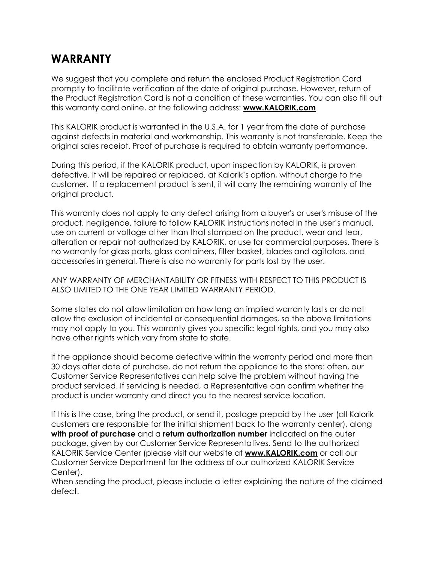## **WARRANTY**

We suggest that you complete and return the enclosed Product Registration Card promptly to facilitate verification of the date of original purchase. However, return of the Product Registration Card is not a condition of these warranties. You can also fill out this warranty card online, at the following address: **[www.KALORIK.com](http://www.kalorik.com/)**

This KALORIK product is warranted in the U.S.A. for 1 year from the date of purchase against defects in material and workmanship. This warranty is not transferable. Keep the original sales receipt. Proof of purchase is required to obtain warranty performance.

During this period, if the KALORIK product, upon inspection by KALORIK, is proven defective, it will be repaired or replaced, at Kalorik's option, without charge to the customer. If a replacement product is sent, it will carry the remaining warranty of the original product.

This warranty does not apply to any defect arising from a buyer's or user's misuse of the product, negligence, failure to follow KALORIK instructions noted in the user's manual, use on current or voltage other than that stamped on the product, wear and tear, alteration or repair not authorized by KALORIK, or use for commercial purposes. There is no warranty for glass parts, glass containers, filter basket, blades and agitators, and accessories in general. There is also no warranty for parts lost by the user.

ANY WARRANTY OF MERCHANTABILITY OR FITNESS WITH RESPECT TO THIS PRODUCT IS ALSO LIMITED TO THE ONE YEAR LIMITED WARRANTY PERIOD.

Some states do not allow limitation on how long an implied warranty lasts or do not allow the exclusion of incidental or consequential damages, so the above limitations may not apply to you. This warranty gives you specific legal rights, and you may also have other rights which vary from state to state.

If the appliance should become defective within the warranty period and more than 30 days after date of purchase, do not return the appliance to the store: often, our Customer Service Representatives can help solve the problem without having the product serviced. If servicing is needed, a Representative can confirm whether the product is under warranty and direct you to the nearest service location.

If this is the case, bring the product, or send it, postage prepaid by the user (all Kalorik customers are responsible for the initial shipment back to the warranty center), along **with proof of purchase** and a **return authorization number** indicated on the outer package, given by our Customer Service Representatives. Send to the authorized KALORIK Service Center (please visit our website at **[www.KALORIK.com](http://www.kalorik.com/)** or call our Customer Service Department for the address of our authorized KALORIK Service Center).

When sending the product, please include a letter explaining the nature of the claimed defect.